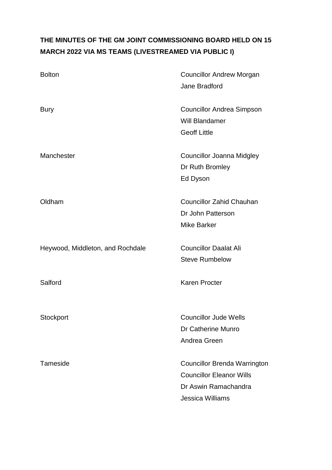# **THE MINUTES OF THE GM JOINT COMMISSIONING BOARD HELD ON 15 MARCH 2022 VIA MS TEAMS (LIVESTREAMED VIA PUBLIC I)**

| <b>Bolton</b>                    | <b>Councillor Andrew Morgan</b><br>Jane Bradford                                                                   |
|----------------------------------|--------------------------------------------------------------------------------------------------------------------|
| <b>Bury</b>                      | <b>Councillor Andrea Simpson</b><br>Will Blandamer<br><b>Geoff Little</b>                                          |
| Manchester                       | Councillor Joanna Midgley<br>Dr Ruth Bromley<br>Ed Dyson                                                           |
| Oldham                           | <b>Councillor Zahid Chauhan</b><br>Dr John Patterson<br><b>Mike Barker</b>                                         |
| Heywood, Middleton, and Rochdale | <b>Councillor Daalat Ali</b><br><b>Steve Rumbelow</b>                                                              |
| Salford                          | <b>Karen Procter</b>                                                                                               |
| Stockport                        | <b>Councillor Jude Wells</b><br>Dr Catherine Munro<br>Andrea Green                                                 |
| Tameside                         | <b>Councillor Brenda Warrington</b><br><b>Councillor Eleanor Wills</b><br>Dr Aswin Ramachandra<br>Jessica Williams |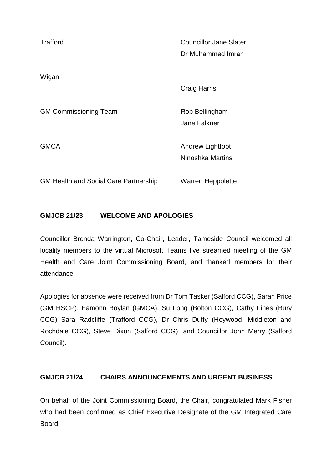| Trafford                                     | <b>Councillor Jane Slater</b><br>Dr Muhammed Imran |
|----------------------------------------------|----------------------------------------------------|
| Wigan                                        | <b>Craig Harris</b>                                |
| <b>GM Commissioning Team</b>                 | Rob Bellingham<br>Jane Falkner                     |
| <b>GMCA</b>                                  | Andrew Lightfoot<br>Ninoshka Martins               |
| <b>GM Health and Social Care Partnership</b> | Warren Heppolette                                  |

## **GMJCB 21/23 WELCOME AND APOLOGIES**

Councillor Brenda Warrington, Co-Chair, Leader, Tameside Council welcomed all locality members to the virtual Microsoft Teams live streamed meeting of the GM Health and Care Joint Commissioning Board, and thanked members for their attendance.

Apologies for absence were received from Dr Tom Tasker (Salford CCG), Sarah Price (GM HSCP), Eamonn Boylan (GMCA), Su Long (Bolton CCG), Cathy Fines (Bury CCG) Sara Radcliffe (Trafford CCG), Dr Chris Duffy (Heywood, Middleton and Rochdale CCG), Steve Dixon (Salford CCG), and Councillor John Merry (Salford Council).

## **GMJCB 21/24 CHAIRS ANNOUNCEMENTS AND URGENT BUSINESS**

On behalf of the Joint Commissioning Board, the Chair, congratulated Mark Fisher who had been confirmed as Chief Executive Designate of the GM Integrated Care Board.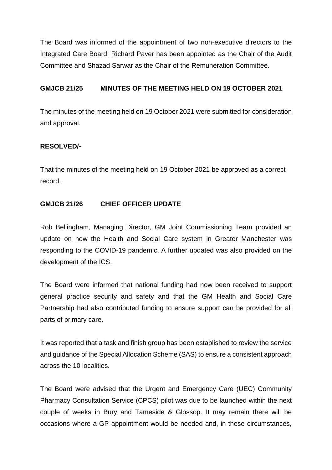The Board was informed of the appointment of two non-executive directors to the Integrated Care Board: Richard Paver has been appointed as the Chair of the Audit Committee and Shazad Sarwar as the Chair of the Remuneration Committee.

### **GMJCB 21/25 MINUTES OF THE MEETING HELD ON 19 OCTOBER 2021**

The minutes of the meeting held on 19 October 2021 were submitted for consideration and approval.

#### **RESOLVED/-**

That the minutes of the meeting held on 19 October 2021 be approved as a correct record.

#### **GMJCB 21/26 CHIEF OFFICER UPDATE**

Rob Bellingham, Managing Director, GM Joint Commissioning Team provided an update on how the Health and Social Care system in Greater Manchester was responding to the COVID-19 pandemic. A further updated was also provided on the development of the ICS.

The Board were informed that national funding had now been received to support general practice security and safety and that the GM Health and Social Care Partnership had also contributed funding to ensure support can be provided for all parts of primary care.

It was reported that a task and finish group has been established to review the service and guidance of the Special Allocation Scheme (SAS) to ensure a consistent approach across the 10 localities.

The Board were advised that the Urgent and Emergency Care (UEC) Community Pharmacy Consultation Service (CPCS) pilot was due to be launched within the next couple of weeks in Bury and Tameside & Glossop. It may remain there will be occasions where a GP appointment would be needed and, in these circumstances,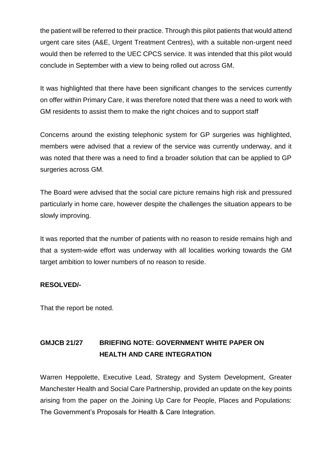the patient will be referred to their practice. Through this pilot patients that would attend urgent care sites (A&E, Urgent Treatment Centres), with a suitable non-urgent need would then be referred to the UEC CPCS service. It was intended that this pilot would conclude in September with a view to being rolled out across GM.

It was highlighted that there have been significant changes to the services currently on offer within Primary Care, it was therefore noted that there was a need to work with GM residents to assist them to make the right choices and to support staff

Concerns around the existing telephonic system for GP surgeries was highlighted, members were advised that a review of the service was currently underway, and it was noted that there was a need to find a broader solution that can be applied to GP surgeries across GM.

The Board were advised that the social care picture remains high risk and pressured particularly in home care, however despite the challenges the situation appears to be slowly improving.

It was reported that the number of patients with no reason to reside remains high and that a system-wide effort was underway with all localities working towards the GM target ambition to lower numbers of no reason to reside.

#### **RESOLVED/-**

That the report be noted.

## **GMJCB 21/27 BRIEFING NOTE: GOVERNMENT WHITE PAPER ON HEALTH AND CARE INTEGRATION**

Warren Heppolette, Executive Lead, Strategy and System Development, Greater Manchester Health and Social Care Partnership, provided an update on the key points arising from the paper on the Joining Up Care for People, Places and Populations: The Government's Proposals for Health & Care Integration.